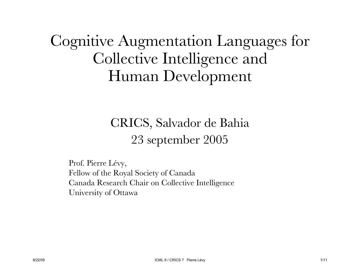#### Cognitive Augmentation Languages for Collective Intelligence and Human Development

#### CRICS, Salvador de Bahia 23 september 2005

Prof. Pierre Lévy, Fellow of the Royal Society of Canada Canada Research Chair on Collective Intelligence University of Ottawa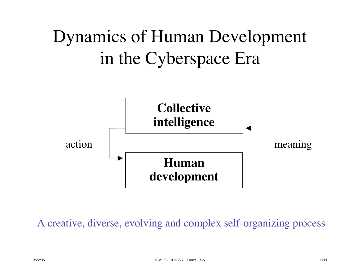## Dynamics of Human Development in the Cyberspace Era



A creative, diverse, evolving and complex self-organizing process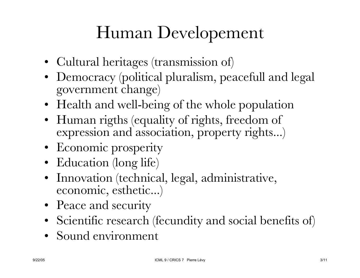### Human Developement

- Cultural heritages (transmission of)
- Democracy (political pluralism, peacefull and legal government change)
- Health and well-being of the whole population
- Human rigths (equality of rights, freedom of expression and association, property rights...)
- Economic prosperity
- Education (long life)
- Innovation (technical, legal, administrative, economic, esthetic...)
- Peace and security
- Scientific research (fecundity and social benefits of)
- Sound environment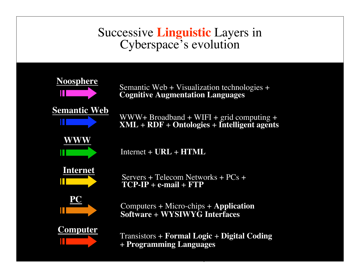#### Successive **Linguistic** Layers in Cyberspace's evolution







**Noosphere**<br>
Semantic Web + Visualization technologies +<br> **Cognitive Augmentation Languages** 

WWW+ Broadband + WIFI + grid computing + **XML** + **RDF** + **Ontologies** + **Intelligent agents**



Internet + **URL** + **HTML**



Servers + Telecom Networks + PCs + **TCP-IP** + **e-mail** + **FTP**



Computers + Micro-chips + **Application Software** + **WYSIWYG Interfaces**

9/22/05 ICML 9  $\sim$  22/05 ICML 9  $\sim$  22/05 ICML 9  $\sim$  22/05 ICML 9  $\sim$  22/05 ICML 9  $\sim$  22/05 ICML 9  $\sim$  22/05 ICML 9  $\sim$  22/05 ICML 9  $\sim$  22/05 ICML 9  $\sim$  22/05 ICML 9  $\sim$  22/05 ICML 9  $\sim$  22/05 ICML 9  $\sim$  22/



**Computer** Transistors + **Formal Logic** + **Digital Coding** + **Programming Languages**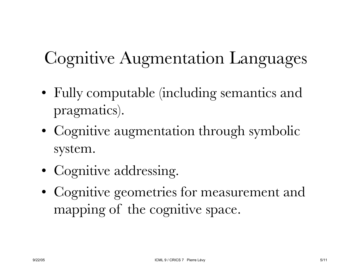## Cognitive Augmentation Languages

- Fully computable (including semantics and pragmatics).
- Cognitive augmentation through symbolic system.
- Cognitive addressing.
- Cognitive geometries for measurement and mapping of the cognitive space.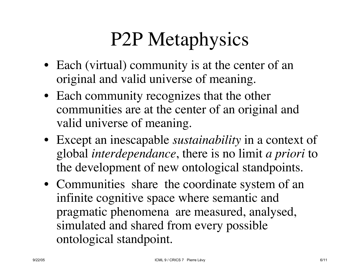# P2P Metaphysics

- Each (virtual) community is at the center of an original and valid universe of meaning.
- Each community recognizes that the other communities are at the center of an original and valid universe of meaning.
- Except an inescapable *sustainability* in a context of global *interdependance*, there is no limit *a priori* to the development of new ontological standpoints.
- Communities share the coordinate system of an infinite cognitive space where semantic and pragmatic phenomena are measured, analysed, simulated and shared from every possible ontological standpoint.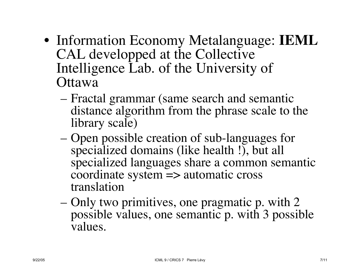- Information Economy Metalanguage: **IEML** CAL developped at the Collective Intelligence Lab. of the University of **Ottawa** 
	- Fractal grammar (same search and semantic distance algorithm from the phrase scale to the library scale)
	- Open possible creation of sub-languages for specialized domains (like health !), but all specialized languages share a common semantic coordinate system => automatic cross translation
	- Only two primitives, one pragmatic p. with 2 possible values, one semantic p. with 3 possible values.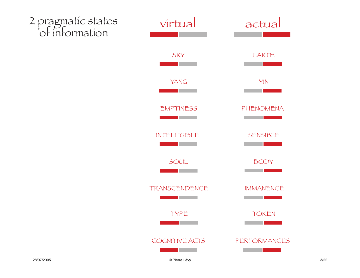

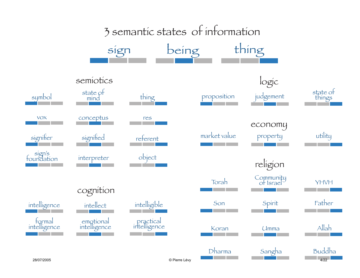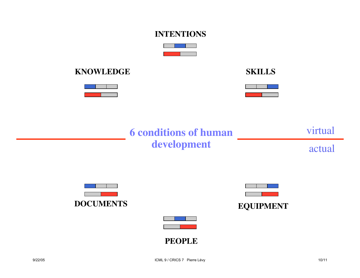